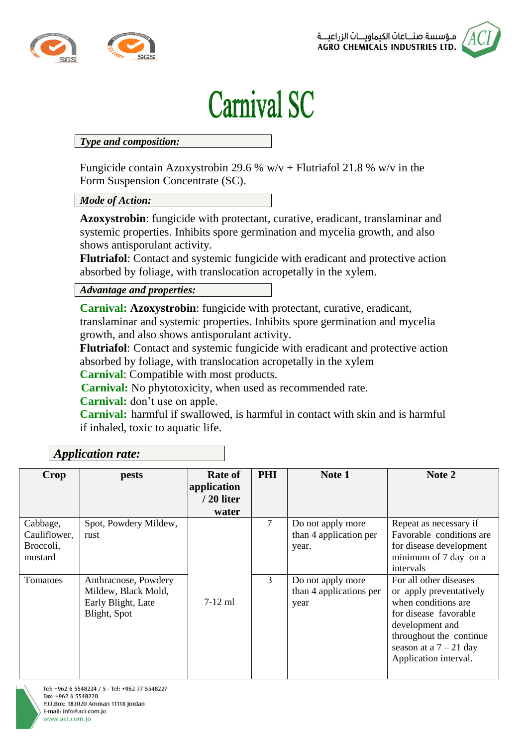

## **Carnival SC**

## *Type and composition:*

Fungicide contain Azoxystrobin 29.6 %  $w/v$  + Flutriafol 21.8 %  $w/v$  in the Form Suspension Concentrate (SC).

## *Mode of Action:*

**Azoxystrobin**: fungicide with protectant, curative, eradicant, translaminar and systemic properties. Inhibits spore germination and mycelia growth, and also shows antisporulant activity.

**Flutriafol**: Contact and systemic fungicide with eradicant and protective action absorbed by foliage, with translocation acropetally in the xylem.

*Advantage and properties:*

**Carnival: Azoxystrobin**: fungicide with protectant, curative, eradicant, translaminar and systemic properties. Inhibits spore germination and mycelia growth, and also shows antisporulant activity.

**Flutriafol**: Contact and systemic fungicide with eradicant and protective action absorbed by foliage, with translocation acropetally in the xylem

**Carnival**: Compatible with most products.

**Carnival:** No phytotoxicity, when used as recommended rate.

**Carnival:** don't use on apple.

**Carnival:** harmful if swallowed, is harmful in contact with skin and is harmful if inhaled, toxic to aquatic life.

| Crop                                             | pests                                                                             | Rate of<br>application<br>/ 20 liter<br>water | <b>PHI</b> | Note 1                                               | Note 2                                                                                                                                                                                                |  |  |  |  |
|--------------------------------------------------|-----------------------------------------------------------------------------------|-----------------------------------------------|------------|------------------------------------------------------|-------------------------------------------------------------------------------------------------------------------------------------------------------------------------------------------------------|--|--|--|--|
| Cabbage,<br>Cauliflower,<br>Broccoli,<br>mustard | Spot, Powdery Mildew,<br>rust                                                     |                                               | 7          | Do not apply more<br>than 4 application per<br>year. | Repeat as necessary if<br>Favorable conditions are<br>for disease development<br>minimum of 7 day on a<br>intervals                                                                                   |  |  |  |  |
| Tomatoes                                         | Anthracnose, Powdery<br>Mildew, Black Mold,<br>Early Blight, Late<br>Blight, Spot | $7-12$ ml                                     | 3          | Do not apply more<br>than 4 applications per<br>year | For all other diseases<br>or apply preventatively<br>when conditions are.<br>for disease favorable<br>development and<br>throughout the continue<br>season at a $7 - 21$ day<br>Application interval. |  |  |  |  |

## *Application rate:*